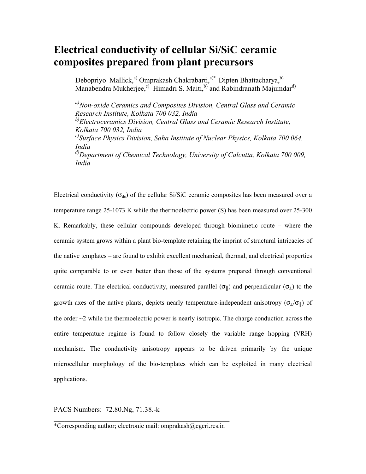## **Electrical conductivity of cellular Si/SiC ceramic composites prepared from plant precursors**

Debopriyo Mallick,<sup>a)</sup> Omprakash Chakrabarti,<sup>a)\*</sup> Dipten Bhattacharya,<sup>b)</sup> Manabendra Mukherjee,<sup>c)</sup> Himadri S. Maiti,<sup>b)</sup> and Rabindranath Majumdar<sup>d)</sup>

*a)Non-oxide Ceramics and Composites Division, Central Glass and Ceramic Research Institute, Kolkata 700 032, India b)Electroceramics Division, Central Glass and Ceramic Research Institute, Kolkata 700 032, India c)Surface Physics Division, Saha Institute of Nuclear Physics, Kolkata 700 064, India d)Department of Chemical Technology, University of Calcutta, Kolkata 700 009, India* 

Electrical conductivity  $(\sigma_{dc})$  of the cellular Si/SiC ceramic composites has been measured over a temperature range 25-1073 K while the thermoelectric power (S) has been measured over 25-300 K. Remarkably, these cellular compounds developed through biomimetic route – where the ceramic system grows within a plant bio-template retaining the imprint of structural intricacies of the native templates – are found to exhibit excellent mechanical, thermal, and electrical properties quite comparable to or even better than those of the systems prepared through conventional ceramic route. The electrical conductivity, measured parallel ( $\sigma_{\parallel}$ ) and perpendicular ( $\sigma_{\perp}$ ) to the growth axes of the native plants, depicts nearly temperature-independent anisotropy ( $\sigma_1/\sigma_{\parallel}$ ) of the order  $\sim$ 2 while the thermoelectric power is nearly isotropic. The charge conduction across the entire temperature regime is found to follow closely the variable range hopping (VRH) mechanism. The conductivity anisotropy appears to be driven primarily by the unique microcellular morphology of the bio-templates which can be exploited in many electrical applications.

PACS Numbers: 72.80.Ng, 71.38.-k

 $\mathcal{L}_\text{max}$  , and the contract of the contract of the contract of the contract of the contract of the contract of the contract of the contract of the contract of the contract of the contract of the contract of the contr \*Corresponding author; electronic mail: omprakash@cgcri.res.in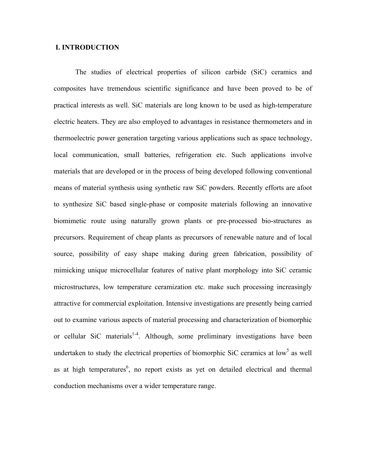### **I. INTRODUCTION**

The studies of electrical properties of silicon carbide (SiC) ceramics and composites have tremendous scientific significance and have been proved to be of practical interests as well. SiC materials are long known to be used as high-temperature electric heaters. They are also employed to advantages in resistance thermometers and in thermoelectric power generation targeting various applications such as space technology, local communication, small batteries, refrigeration etc. Such applications involve materials that are developed or in the process of being developed following conventional means of material synthesis using synthetic raw SiC powders. Recently efforts are afoot to synthesize SiC based single-phase or composite materials following an innovative biomimetic route using naturally grown plants or pre-processed bio-structures as precursors. Requirement of cheap plants as precursors of renewable nature and of local source, possibility of easy shape making during green fabrication, possibility of mimicking unique microcellular features of native plant morphology into SiC ceramic microstructures, low temperature ceramization etc. make such processing increasingly attractive for commercial exploitation. Intensive investigations are presently being carried out to examine various aspects of material processing and characterization of biomorphic or cellular SiC materials<sup>1-4</sup>. Although, some preliminary investigations have been undertaken to study the electrical properties of biomorphic SiC ceramics at low<sup>5</sup> as well as at high temperatures<sup>6</sup>, no report exists as yet on detailed electrical and thermal conduction mechanisms over a wider temperature range.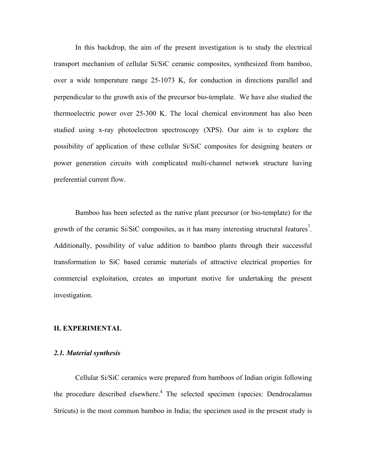In this backdrop, the aim of the present investigation is to study the electrical transport mechanism of cellular Si/SiC ceramic composites, synthesized from bamboo, over a wide temperature range 25-1073 K, for conduction in directions parallel and perpendicular to the growth axis of the precursor bio-template. We have also studied the thermoelectric power over 25-300 K. The local chemical environment has also been studied using x-ray photoelectron spectroscopy (XPS). Our aim is to explore the possibility of application of these cellular Si/SiC composites for designing heaters or power generation circuits with complicated multi-channel network structure having preferential current flow.

Bamboo has been selected as the native plant precursor (or bio-template) for the growth of the ceramic Si/SiC composites, as it has many interesting structural features<sup>7</sup>. Additionally, possibility of value addition to bamboo plants through their successful transformation to SiC based ceramic materials of attractive electrical properties for commercial exploitation, creates an important motive for undertaking the present investigation.

#### **II. EXPERIMENTAL**

#### *2.1. Material synthesis*

Cellular Si/SiC ceramics were prepared from bamboos of Indian origin following the procedure described elsewhere.<sup>4</sup> The selected specimen (species: Dendrocalamus Stricuts) is the most common bamboo in India; the specimen used in the present study is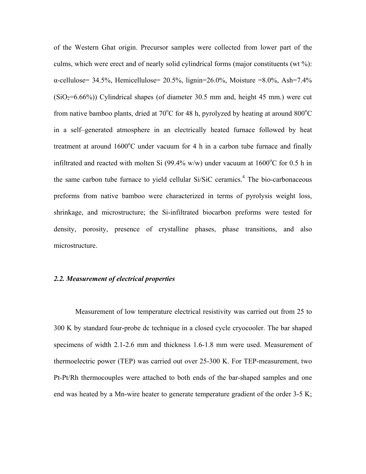of the Western Ghat origin. Precursor samples were collected from lower part of the culms, which were erect and of nearly solid cylindrical forms (major constituents (wt %): α-cellulose= 34.5%, Hemicellulose= 20.5%, lignin=26.0%, Moisture =8.0%, Ash=7.4%  $(SiO<sub>2</sub>=6.66%)$ ) Cylindrical shapes (of diameter 30.5 mm and, height 45 mm.) were cut from native bamboo plants, dried at  $70^{\circ}$ C for 48 h, pyrolyzed by heating at around  $800^{\circ}$ C in a self–generated atmosphere in an electrically heated furnace followed by heat treatment at around  $1600^{\circ}$ C under vacuum for 4 h in a carbon tube furnace and finally infiltrated and reacted with molten Si (99.4% w/w) under vacuum at  $1600^{\circ}$ C for 0.5 h in the same carbon tube furnace to yield cellular Si/SiC ceramics.<sup>4</sup> The bio-carbonaceous preforms from native bamboo were characterized in terms of pyrolysis weight loss, shrinkage, and microstructure; the Si-infiltrated biocarbon preforms were tested for density, porosity, presence of crystalline phases, phase transitions, and also microstructure.

#### *2.2. Measurement of electrical properties*

Measurement of low temperature electrical resistivity was carried out from 25 to 300 K by standard four-probe dc technique in a closed cycle cryocooler. The bar shaped specimens of width 2.1-2.6 mm and thickness 1.6-1.8 mm were used. Measurement of thermoelectric power (TEP) was carried out over 25-300 K. For TEP-measurement, two Pt-Pt/Rh thermocouples were attached to both ends of the bar-shaped samples and one end was heated by a Mn-wire heater to generate temperature gradient of the order 3-5 K;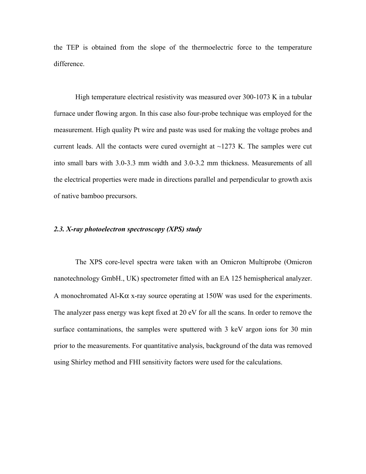the TEP is obtained from the slope of the thermoelectric force to the temperature difference.

 High temperature electrical resistivity was measured over 300-1073 K in a tubular furnace under flowing argon. In this case also four-probe technique was employed for the measurement. High quality Pt wire and paste was used for making the voltage probes and current leads. All the contacts were cured overnight at  $\sim$ 1273 K. The samples were cut into small bars with 3.0-3.3 mm width and 3.0-3.2 mm thickness. Measurements of all the electrical properties were made in directions parallel and perpendicular to growth axis of native bamboo precursors.

#### *2.3. X-ray photoelectron spectroscopy (XPS) study*

 The XPS core-level spectra were taken with an Omicron Multiprobe (Omicron nanotechnology GmbH., UK) spectrometer fitted with an EA 125 hemispherical analyzer. A monochromated Al-Kα x-ray source operating at 150W was used for the experiments. The analyzer pass energy was kept fixed at 20 eV for all the scans. In order to remove the surface contaminations, the samples were sputtered with 3 keV argon ions for 30 min prior to the measurements. For quantitative analysis, background of the data was removed using Shirley method and FHI sensitivity factors were used for the calculations.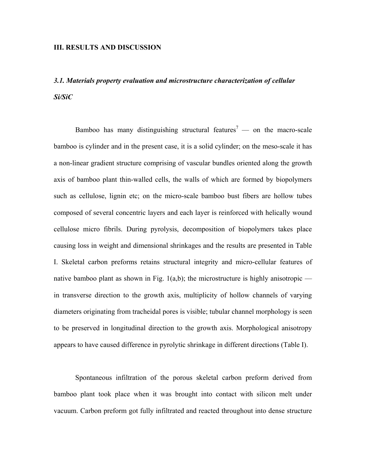#### **III. RESULTS AND DISCUSSION**

# *3.1. Materials property evaluation and microstructure characterization of cellular Si/SiC*

Bamboo has many distinguishing structural features<sup>7</sup> — on the macro-scale bamboo is cylinder and in the present case, it is a solid cylinder; on the meso-scale it has a non-linear gradient structure comprising of vascular bundles oriented along the growth axis of bamboo plant thin-walled cells, the walls of which are formed by biopolymers such as cellulose, lignin etc; on the micro-scale bamboo bust fibers are hollow tubes composed of several concentric layers and each layer is reinforced with helically wound cellulose micro fibrils. During pyrolysis, decomposition of biopolymers takes place causing loss in weight and dimensional shrinkages and the results are presented in Table I. Skeletal carbon preforms retains structural integrity and micro-cellular features of native bamboo plant as shown in Fig.  $1(a,b)$ ; the microstructure is highly anisotropic in transverse direction to the growth axis, multiplicity of hollow channels of varying diameters originating from tracheidal pores is visible; tubular channel morphology is seen to be preserved in longitudinal direction to the growth axis. Morphological anisotropy appears to have caused difference in pyrolytic shrinkage in different directions (Table I).

Spontaneous infiltration of the porous skeletal carbon preform derived from bamboo plant took place when it was brought into contact with silicon melt under vacuum. Carbon preform got fully infiltrated and reacted throughout into dense structure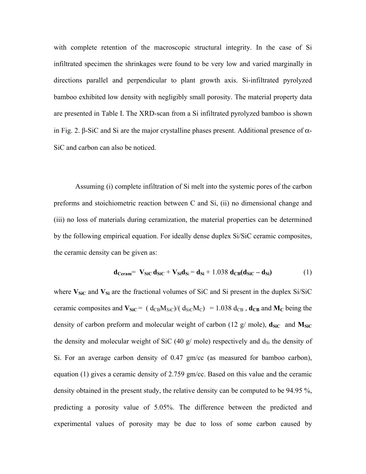with complete retention of the macroscopic structural integrity. In the case of Si infiltrated specimen the shrinkages were found to be very low and varied marginally in directions parallel and perpendicular to plant growth axis. Si-infiltrated pyrolyzed bamboo exhibited low density with negligibly small porosity. The material property data are presented in Table I. The XRD-scan from a Si infiltrated pyrolyzed bamboo is shown in Fig. 2. β-SiC and Si are the major crystalline phases present. Additional presence of  $α-$ SiC and carbon can also be noticed.

Assuming (i) complete infiltration of Si melt into the systemic pores of the carbon preforms and stoichiometric reaction between C and Si, (ii) no dimensional change and (iii) no loss of materials during ceramization, the material properties can be determined by the following empirical equation. For ideally dense duplex Si/SiC ceramic composites, the ceramic density can be given as:

$$
\mathbf{d}_{\text{Ceram}} = \mathbf{V}_{\text{SiC}} \mathbf{d}_{\text{SiC}} + \mathbf{V}_{\text{Si}} \mathbf{d}_{\text{Si}} = \mathbf{d}_{\text{Si}} + 1.038 \mathbf{d}_{\text{CB}} (\mathbf{d}_{\text{SiC}} - \mathbf{d}_{\text{Si}})
$$
(1)

where  $V_{\text{SiC}}$  and  $V_{\text{Si}}$  are the fractional volumes of SiC and Si present in the duplex Si/SiC ceramic composites and  $V_{SiC} = (d_{CB}M_{SiC})/(d_{SiC}M_C) = 1.038 d_{CB}$ ,  $d_{CB}$  and  $M_C$  being the density of carbon preform and molecular weight of carbon (12  $g$ / mole),  $\mathbf{d}_{\text{SiC}}$  and  $\mathbf{M}_{\text{SiC}}$ the density and molecular weight of SiC (40 g/ mole) respectively and  $d_{Si}$  the density of Si. For an average carbon density of 0.47 gm/cc (as measured for bamboo carbon), equation (1) gives a ceramic density of 2.759 gm/cc. Based on this value and the ceramic density obtained in the present study, the relative density can be computed to be 94.95 %, predicting a porosity value of 5.05%. The difference between the predicted and experimental values of porosity may be due to loss of some carbon caused by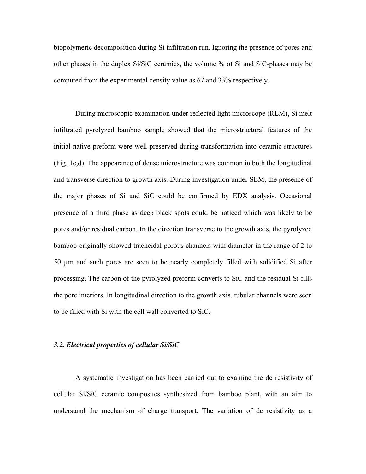biopolymeric decomposition during Si infiltration run. Ignoring the presence of pores and other phases in the duplex Si/SiC ceramics, the volume % of Si and SiC-phases may be computed from the experimental density value as 67 and 33% respectively.

During microscopic examination under reflected light microscope (RLM), Si melt infiltrated pyrolyzed bamboo sample showed that the microstructural features of the initial native preform were well preserved during transformation into ceramic structures (Fig. 1c,d). The appearance of dense microstructure was common in both the longitudinal and transverse direction to growth axis. During investigation under SEM, the presence of the major phases of Si and SiC could be confirmed by EDX analysis. Occasional presence of a third phase as deep black spots could be noticed which was likely to be pores and/or residual carbon. In the direction transverse to the growth axis, the pyrolyzed bamboo originally showed tracheidal porous channels with diameter in the range of 2 to 50 µm and such pores are seen to be nearly completely filled with solidified Si after processing. The carbon of the pyrolyzed preform converts to SiC and the residual Si fills the pore interiors. In longitudinal direction to the growth axis, tubular channels were seen to be filled with Si with the cell wall converted to SiC.

#### *3.2. Electrical properties of cellular Si/SiC*

A systematic investigation has been carried out to examine the dc resistivity of cellular Si/SiC ceramic composites synthesized from bamboo plant, with an aim to understand the mechanism of charge transport. The variation of dc resistivity as a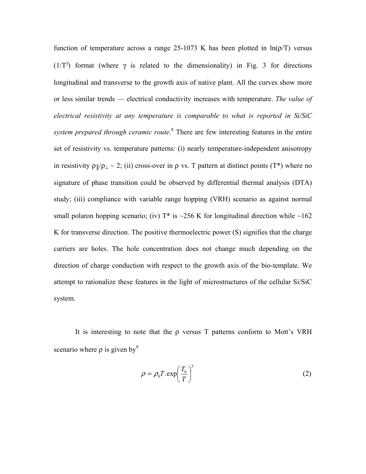function of temperature across a range 25-1073 K has been plotted in  $ln(p/T)$  versus ( $1/T^{\gamma}$ ) format (where  $\gamma$  is related to the dimensionality) in Fig. 3 for directions longitudinal and transverse to the growth axis of native plant. All the curves show more or less similar trends — electrical conductivity increases with temperature. *The value of electrical resistivity at any temperature is comparable to what is reported in Si/SiC system prepared through ceramic route*. 8 There are few interesting features in the entire set of resistivity vs. temperature patterns: (i) nearly temperature-independent anisotropy in resistivity  $\rho \psi \rho_{\perp} \sim 2$ ; (ii) cross-over in  $\rho$  vs. T pattern at distinct points (T\*) where no signature of phase transition could be observed by differential thermal analysis (DTA) study; (iii) compliance with variable range hopping (VRH) scenario as against normal small polaron hopping scenario; (iv)  $T^*$  is ~256 K for longitudinal direction while ~162 K for transverse direction. The positive thermoelectric power (S) signifies that the charge carriers are holes. The hole concentration does not change much depending on the direction of charge conduction with respect to the growth axis of the bio-template. We attempt to rationalize these features in the light of microstructures of the cellular Si/SiC system.

It is interesting to note that the  $\rho$  versus T patterns conform to Mott's VRH scenario where  $\rho$  is given by<sup>9</sup>

$$
\rho = \rho_0 T . \exp\left(\frac{T_0}{T}\right)^{\gamma} \tag{2}
$$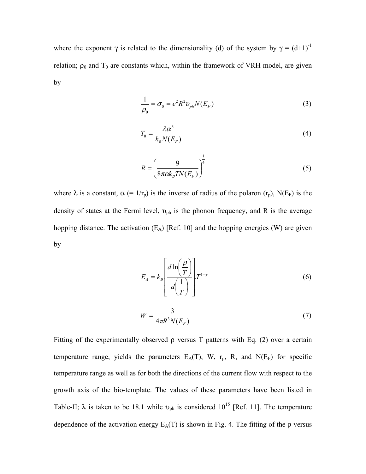where the exponent  $\gamma$  is related to the dimensionality (d) of the system by  $\gamma = (d+1)^{-1}$ relation;  $\rho_0$  and T<sub>0</sub> are constants which, within the framework of VRH model, are given by

$$
\frac{1}{\rho_0} = \sigma_0 = e^2 R^2 v_{ph} N(E_F)
$$
 (3)

$$
T_0 = \frac{\lambda \alpha^3}{k_B N(E_F)}\tag{4}
$$

$$
R = \left(\frac{9}{8\pi c k_B T N(E_F)}\right)^{\frac{1}{4}}
$$
(5)

where  $\lambda$  is a constant,  $\alpha$  (= 1/r<sub>p</sub>) is the inverse of radius of the polaron (r<sub>p</sub>), N(E<sub>F</sub>) is the density of states at the Fermi level,  $v_{ph}$  is the phonon frequency, and R is the average hopping distance. The activation  $(E_A)$  [Ref. 10] and the hopping energies (W) are given by

$$
E_A = k_B \left[ \frac{d \ln \left( \frac{\rho}{T} \right)}{d \left( \frac{1}{T} \right)} \right] T^{1-\gamma} \tag{6}
$$

$$
W = \frac{3}{4\pi R^3 N(E_F)}\tag{7}
$$

Fitting of the experimentally observed  $\rho$  versus T patterns with Eq. (2) over a certain temperature range, yields the parameters  $E_A(T)$ , W,  $r_p$ , R, and N( $E_F$ ) for specific temperature range as well as for both the directions of the current flow with respect to the growth axis of the bio-template. The values of these parameters have been listed in Table-II;  $\lambda$  is taken to be 18.1 while  $v_{ph}$  is considered 10<sup>15</sup> [Ref. 11]. The temperature dependence of the activation energy  $E_A(T)$  is shown in Fig. 4. The fitting of the  $\rho$  versus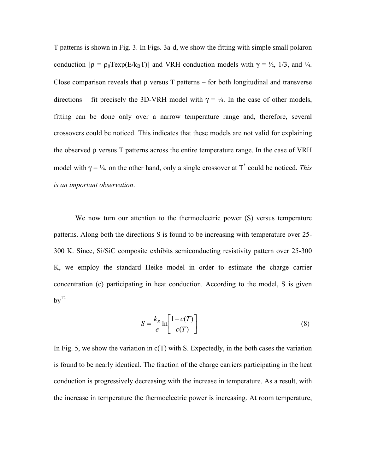T patterns is shown in Fig. 3. In Figs. 3a-d, we show the fitting with simple small polaron conduction  $[\rho = \rho_0 \text{T} \exp(E/k_B \text{T})]$  and VRH conduction models with  $\gamma = \frac{1}{2}$ , 1/3, and  $\frac{1}{4}$ . Close comparison reveals that  $\rho$  versus T patterns – for both longitudinal and transverse directions – fit precisely the 3D-VRH model with  $\gamma = \frac{1}{4}$ . In the case of other models, fitting can be done only over a narrow temperature range and, therefore, several crossovers could be noticed. This indicates that these models are not valid for explaining the observed ρ versus T patterns across the entire temperature range. In the case of VRH model with  $\gamma = \frac{1}{4}$ , on the other hand, only a single crossover at T<sup>\*</sup> could be noticed. This *is an important observation*.

We now turn our attention to the thermoelectric power (S) versus temperature patterns. Along both the directions S is found to be increasing with temperature over 25- 300 K. Since, Si/SiC composite exhibits semiconducting resistivity pattern over 25-300 K, we employ the standard Heike model in order to estimate the charge carrier concentration (c) participating in heat conduction. According to the model, S is given  $bv^{12}$ 

$$
S = \frac{k_B}{e} \ln \left[ \frac{1 - c(T)}{c(T)} \right] \tag{8}
$$

In Fig. 5, we show the variation in  $c(T)$  with S. Expectedly, in the both cases the variation is found to be nearly identical. The fraction of the charge carriers participating in the heat conduction is progressively decreasing with the increase in temperature. As a result, with the increase in temperature the thermoelectric power is increasing. At room temperature,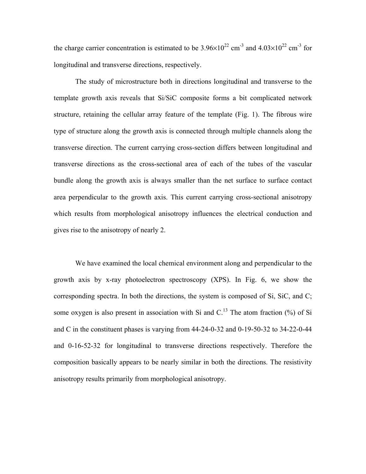the charge carrier concentration is estimated to be  $3.96 \times 10^{22}$  cm<sup>-3</sup> and  $4.03 \times 10^{22}$  cm<sup>-3</sup> for longitudinal and transverse directions, respectively.

 The study of microstructure both in directions longitudinal and transverse to the template growth axis reveals that Si/SiC composite forms a bit complicated network structure, retaining the cellular array feature of the template (Fig. 1). The fibrous wire type of structure along the growth axis is connected through multiple channels along the transverse direction. The current carrying cross-section differs between longitudinal and transverse directions as the cross-sectional area of each of the tubes of the vascular bundle along the growth axis is always smaller than the net surface to surface contact area perpendicular to the growth axis. This current carrying cross-sectional anisotropy which results from morphological anisotropy influences the electrical conduction and gives rise to the anisotropy of nearly 2.

We have examined the local chemical environment along and perpendicular to the growth axis by x-ray photoelectron spectroscopy (XPS). In Fig. 6, we show the corresponding spectra. In both the directions, the system is composed of Si, SiC, and C; some oxygen is also present in association with Si and C.<sup>13</sup> The atom fraction  $\frac{9}{6}$  of Si and C in the constituent phases is varying from 44-24-0-32 and 0-19-50-32 to 34-22-0-44 and 0-16-52-32 for longitudinal to transverse directions respectively. Therefore the composition basically appears to be nearly similar in both the directions. The resistivity anisotropy results primarily from morphological anisotropy.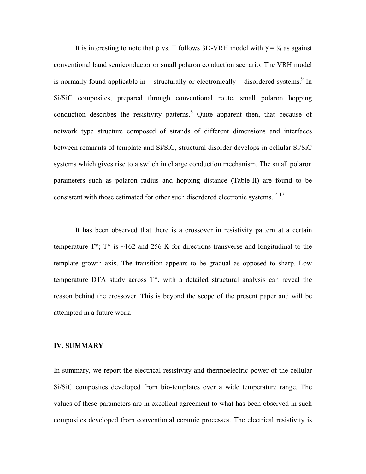It is interesting to note that  $\rho$  vs. T follows 3D-VRH model with  $\gamma = \frac{1}{4}$  as against conventional band semiconductor or small polaron conduction scenario. The VRH model is normally found applicable in  $-$  structurally or electronically  $-$  disordered systems.<sup>9</sup> In Si/SiC composites, prepared through conventional route, small polaron hopping conduction describes the resistivity patterns.<sup>8</sup> Quite apparent then, that because of network type structure composed of strands of different dimensions and interfaces between remnants of template and Si/SiC, structural disorder develops in cellular Si/SiC systems which gives rise to a switch in charge conduction mechanism. The small polaron parameters such as polaron radius and hopping distance (Table-II) are found to be consistent with those estimated for other such disordered electronic systems.<sup>14-17</sup>

It has been observed that there is a crossover in resistivity pattern at a certain temperature  $T^*$ ;  $T^*$  is  $\sim$ 162 and 256 K for directions transverse and longitudinal to the template growth axis. The transition appears to be gradual as opposed to sharp. Low temperature DTA study across T\*, with a detailed structural analysis can reveal the reason behind the crossover. This is beyond the scope of the present paper and will be attempted in a future work.

#### **IV. SUMMARY**

In summary, we report the electrical resistivity and thermoelectric power of the cellular Si/SiC composites developed from bio-templates over a wide temperature range. The values of these parameters are in excellent agreement to what has been observed in such composites developed from conventional ceramic processes. The electrical resistivity is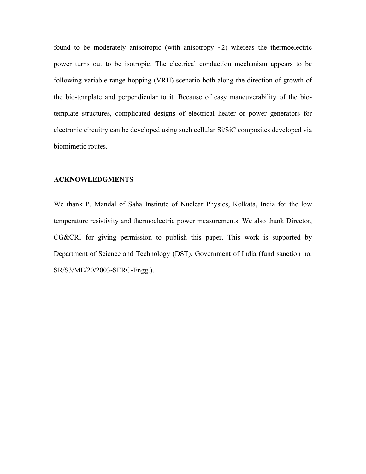found to be moderately anisotropic (with anisotropy  $\sim$ 2) whereas the thermoelectric power turns out to be isotropic. The electrical conduction mechanism appears to be following variable range hopping (VRH) scenario both along the direction of growth of the bio-template and perpendicular to it. Because of easy maneuverability of the biotemplate structures, complicated designs of electrical heater or power generators for electronic circuitry can be developed using such cellular Si/SiC composites developed via biomimetic routes.

#### **ACKNOWLEDGMENTS**

We thank P. Mandal of Saha Institute of Nuclear Physics, Kolkata, India for the low temperature resistivity and thermoelectric power measurements. We also thank Director, CG&CRI for giving permission to publish this paper. This work is supported by Department of Science and Technology (DST), Government of India (fund sanction no. SR/S3/ME/20/2003-SERC-Engg.).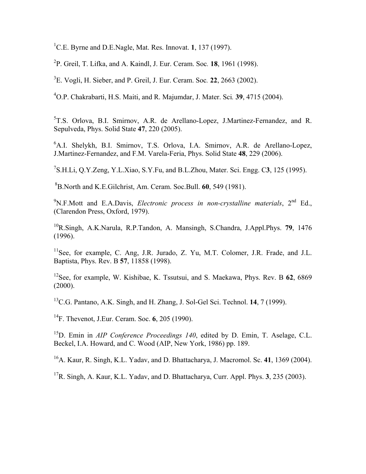<sup>1</sup>C.E. Byrne and D.E.Nagle, Mat. Res. Innovat. **1**, 137 (1997).

2 P. Greil, T. Lifka, and A. Kaindl, J. Eur. Ceram. Soc*.* **18**, 1961 (1998).

3 E. Vogli, H. Sieber, and P. Greil, J. Eur. Ceram. Soc*.* **22**, 2663 (2002).

4 O.P. Chakrabarti, H.S. Maiti, and R. Majumdar, J. Mater. Sci*.* **39**, 4715 (2004).

<sup>5</sup>T.S. Orlova, B.I. Smirnov, A.R. de Arellano-Lopez, J.Martinez-Fernandez, and R. Sepulveda, Phys. Solid State **47**, 220 (2005).

6 A.I. Shelykh, B.I. Smirnov, T.S. Orlova, I.A. Smirnov, A.R. de Arellano-Lopez, J.Martinez-Fernandez, and F.M. Varela-Feria, Phys. Solid State **48**, 229 (2006).

7 S.H.Li, Q.Y.Zeng, Y.L.Xiao, S.Y.Fu, and B.L.Zhou, Mater. Sci. Engg. C**3**, 125 (1995).

8B.North and K.E.Gilchrist, Am. Ceram. Soc.Bull. **60**, 549 (1981).

<sup>9</sup>N.F.Mott and E.A.Davis, *Electronic process in non-crystalline materials*, 2<sup>nd</sup> Ed., (Clarendon Press, Oxford, 1979).

10R.Singh, A.K.Narula, R.P.Tandon, A. Mansingh, S.Chandra, J.Appl.Phys. **79**, 1476 (1996).

 $11$ See, for example, C. Ang, J.R. Jurado, Z. Yu, M.T. Colomer, J.R. Frade, and J.L. Baptista, Phys. Rev. B **57**, 11858 (1998).

12See, for example, W. Kishibae, K. Tssutsui, and S. Maekawa, Phys. Rev. B **62**, 6869  $(2000).$ 

13C.G. Pantano, A.K. Singh, and H. Zhang, J. Sol-Gel Sci. Technol. **14**, 7 (1999).

14F. Thevenot, J.Eur. Ceram. Soc. **6**, 205 (1990).

15D. Emin in *AIP Conference Proceedings 140*, edited by D. Emin, T. Aselage, C.L. Beckel, I.A. Howard, and C. Wood (AIP, New York, 1986) pp. 189.

16A. Kaur, R. Singh, K.L. Yadav, and D. Bhattacharya, J. Macromol. Sc. **41**, 1369 (2004).

17R. Singh, A. Kaur, K.L. Yadav, and D. Bhattacharya, Curr. Appl. Phys. **3**, 235 (2003).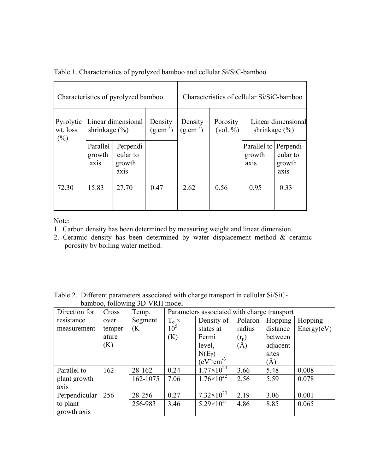| Characteristics of pyrolyzed bamboo |                                         |                                                      |                          | Characteristics of cellular Si/SiC-bamboo |                      |                                         |                                         |
|-------------------------------------|-----------------------------------------|------------------------------------------------------|--------------------------|-------------------------------------------|----------------------|-----------------------------------------|-----------------------------------------|
| Pyrolytic<br>wt. loss<br>$(\%)$     | Linear dimensional<br>shrinkage $(\% )$ |                                                      | Density<br>$(g.cm^{-3})$ | Density<br>$(g.cm^{-3})$                  | Porosity<br>(vol. %) | Linear dimensional<br>shrinkage $(\% )$ |                                         |
|                                     | Parallel<br>growth<br>axis              | Perpendi-<br>cular to<br>growth<br>ax <sub>1</sub> s |                          |                                           |                      | Parallel to Perpendi-<br>growth<br>axis | cular to<br>growth<br>ax <sub>1</sub> s |
| 72.30                               | 15.83                                   | 27.70                                                | 0.47                     | 2.62                                      | 0.56                 | 0.95                                    | 0.33                                    |

Table 1. Characteristics of pyrolyzed bamboo and cellular Si/SiC-bamboo

Note:

- 1. Carbon density has been determined by measuring weight and linear dimension.
- 2. Ceramic density has been determined by water displacement method & ceramic porosity by boiling water method.

Table 2. Different parameters associated with charge transport in cellular Si/SiCbamboo, following 3D-VRH model

| Direction for | Cross   | Temp.    | Parameters associated with charge transport |                       |         |          |            |  |
|---------------|---------|----------|---------------------------------------------|-----------------------|---------|----------|------------|--|
| resistance    | over    | Segment  | $T_{o}$ $\times$                            | Density of            | Polaron | Hopping  | Hopping    |  |
| measurement   | temper- | (K       | 10 <sup>5</sup>                             | states at             | radius  | distance | Energy(eV) |  |
|               | ature   |          | (K)                                         | Fermi                 | $(r_p)$ | between  |            |  |
|               | (K)     |          |                                             | level,                | (A)     | adjacent |            |  |
|               |         |          |                                             | $N(E_F)$              |         | sites    |            |  |
|               |         |          |                                             | $(eV^{-1}cm^{-3})$    |         | $(\AA)$  |            |  |
| Parallel to   | 162     | 28-162   | 0.24                                        | $1.77\times10^{23}$   | 3.66    | 5.48     | 0.008      |  |
| plant growth  |         | 162-1075 | 7.06                                        | $1.76 \times 10^{22}$ | 2.56    | 5.59     | 0.078      |  |
| axis          |         |          |                                             |                       |         |          |            |  |
| Perpendicular | 256     | 28-256   | 0.27                                        | $7.32\times10^{23}$   | 2.19    | 3.06     | 0.001      |  |
| to plant      |         | 256-983  | 3.46                                        | $5.29\times10^{21}$   | 4.86    | 8.85     | 0.065      |  |
| growth axis   |         |          |                                             |                       |         |          |            |  |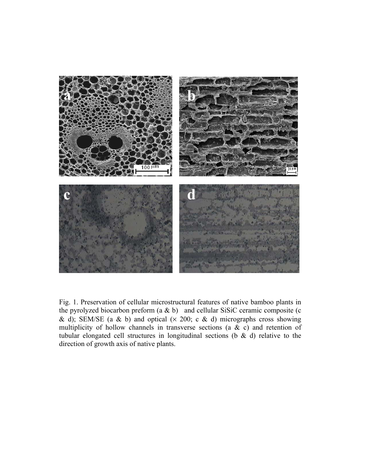

Fig. 1. Preservation of cellular microstructural features of native bamboo plants in the pyrolyzed biocarbon preform  $(a \& b)$  and cellular SiSiC ceramic composite (c & d); SEM/SE (a & b) and optical  $(x 200; c & d)$  micrographs cross showing multiplicity of hollow channels in transverse sections (a  $\& c$ ) and retention of tubular elongated cell structures in longitudinal sections (b  $\&$  d) relative to the direction of growth axis of native plants.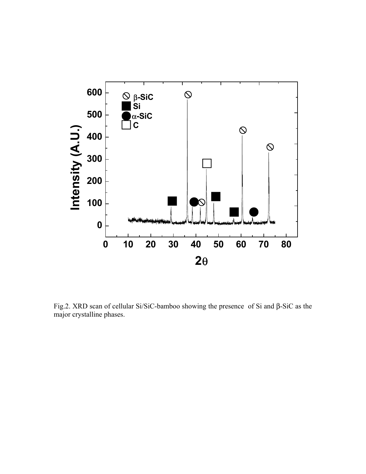

Fig.2. XRD scan of cellular Si/SiC-bamboo showing the presence of Si and β-SiC as the major crystalline phases.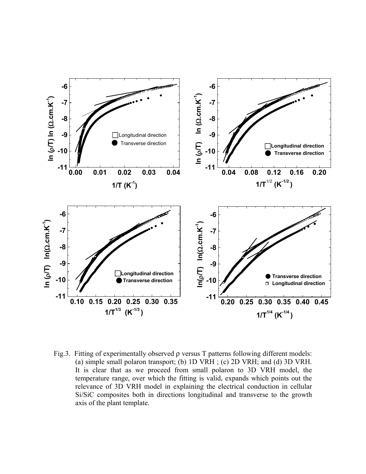

Fig.3. Fitting of experimentally observed ρ versus T patterns following different models: (a) simple small polaron transport; (b) 1D VRH ; (c) 2D VRH; and (d) 3D VRH. It is clear that as we proceed from small polaron to 3D VRH model, the temperature range, over which the fitting is valid, expands which points out the relevance of 3D VRH model in explaining the electrical conduction in cellular Si/SiC composites both in directions longitudinal and transverse to the growth axis of the plant template.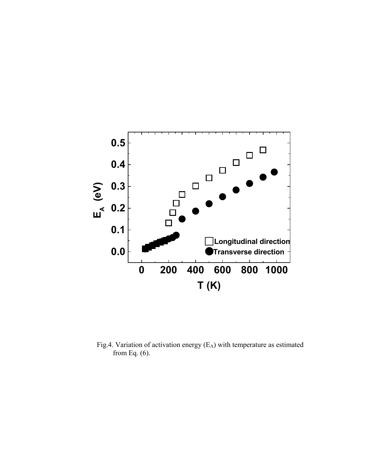

Fig.4. Variation of activation energy  $(E_A)$  with temperature as estimated from Eq. (6).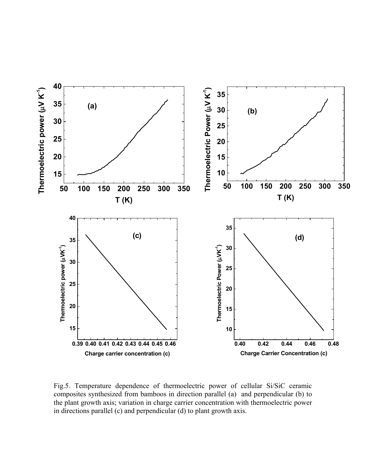

Fig.5. Temperature dependence of thermoelectric power of cellular Si/SiC ceramic composites synthesized from bamboos in direction parallel (a) and perpendicular (b) to the plant growth axis; variation in charge carrier concentration with thermoelectric power in directions parallel (c) and perpendicular (d) to plant growth axis.